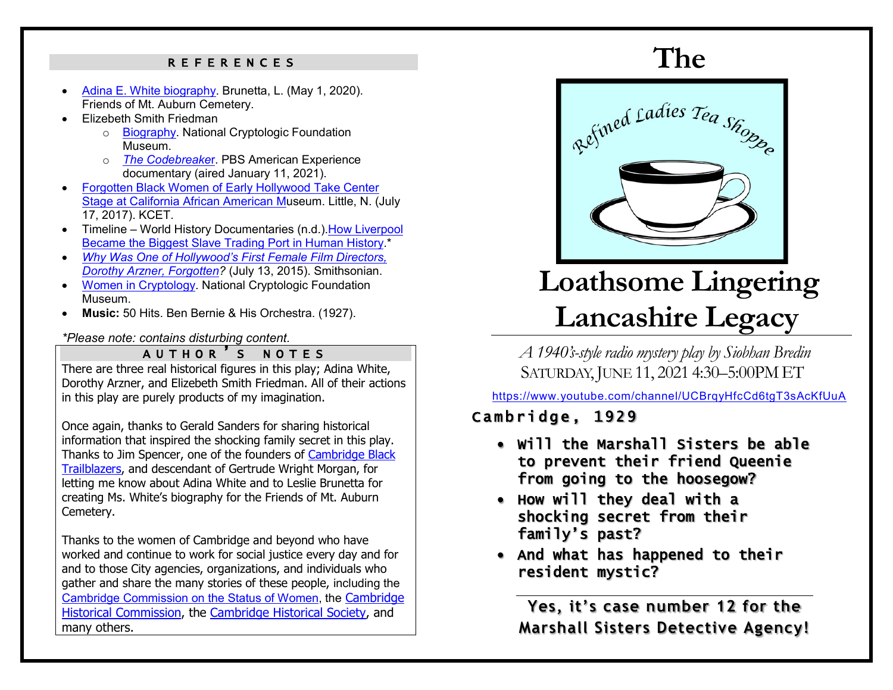### REFERENCES

- [Adina E. White biography.](https://mountauburn.org/adina-e-white-1861-1930/) Brunetta, L. (May 1, 2020). Friends of Mt. Auburn Cemetery.
- Elizebeth Smith Friedman
	- o [Biography.](https://cryptologicfoundation.org/what-we-do/educate/bytes/this_day_in_history_calendar.html/event/2018/08/26/1535259600/1892-elizebeth-smith-friedman-birth-date/77130) National Cryptologic Foundation Museum.
	- o *[The Codebreake](https://www.pbs.org/wgbh/americanexperience/films/codebreaker/)*r. PBS American Experience documentary (aired January 11, 2021).
- [Forgotten Black Women of Early Hollywood Take Center](https://www.kcet.org/shows/artbound/forgotten-black-women-of-early-hollywood-take-center-stage-at-caam)  [Stage at California African American Mu](https://www.kcet.org/shows/artbound/forgotten-black-women-of-early-hollywood-take-center-stage-at-caam)seum. Little, N. (July 17, 2017). KCET.
- Timeline World History Documentaries (n.d.)[.How Liverpool](https://www.youtube.com/watch?v=icTi4rKi3Yc)  [Became the Biggest Slave Trading Port in Human History.](https://www.youtube.com/watch?v=icTi4rKi3Yc)<sup>\*</sup>
- *Why Was One of Hollywood's First Female Film Directors, Dorothy Arzner, Forgotten?* (July 13, 2015). Smithsonian.
- [Women in Cryptology.](https://cryptologicfoundation.org/what-we-do/stimulate/women-in-cryptology.html) National Cryptologic Foundation Museum.
- **Music:** 50 Hits. Ben Bernie & His Orchestra. (1927).

### *\*Please note: contains disturbing content.*

### AUTHOR'S NOTES

There are three real historical figures in this play; Adina White, Dorothy Arzner, and Elizebeth Smith Friedman. All of their actions in this play are purely products of my imagination.

Once again, thanks to Gerald Sanders for sharing historical information that inspired the shocking family secret in this play. Thanks to Jim Spencer, one of the founders of [Cambridge Black](https://www.cambridgeblacktrailblazers.com/)  [Trailblazers,](https://www.cambridgeblacktrailblazers.com/) and descendant of Gertrude Wright Morgan, for letting me know about Adina White and to Leslie Brunetta for creating Ms. White's biography for the Friends of Mt. Auburn Cemetery.

Thanks to the women of Cambridge and beyond who have worked and continue to work for social justice every day and for and to those City agencies, organizations, and individuals who gather and share the many stories of these people, including the Cambridge Commission [on the Status of Women,](https://www.cambridgewomenscommission.org/) the [Cambridge](https://www.cambridgema.gov/historic)  [Historical Commission,](https://www.cambridgema.gov/historic) the [Cambridge Historical Society,](https://cambridgehistory.org/) and many others.

## **The**



# **Loathsome Lingering Lancashire Legacy**

*A 1940's-style radio mystery play by Siobhan Bredin* SATURDAY, JUNE 11, 2021 4:30-5:00 PM ET

<https://www.youtube.com/channel/UCBrqyHfcCd6tgT3sAcKfUuA>

## Cambridge, 1929

- Will the Marshall Sisters be able to prevent their friend Queenie from going to the hoosegow?
- How will they deal with a shocking secret from their family's past?
- And what has happened to their resident mystic?

**Yes, it's case number 12 for the Marshall Sisters Detective Agency!**